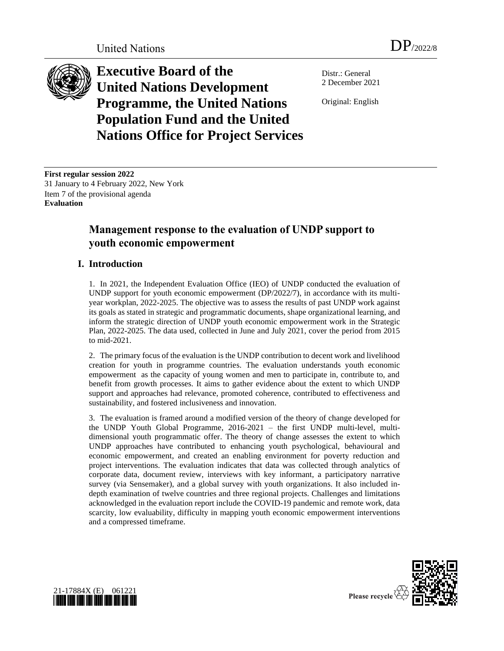

**Executive Board of the United Nations Development Programme, the United Nations Population Fund and the United Nations Office for Project Services**

Distr.: General 2 December 2021

Original: English

**First regular session 2022** 31 January to 4 February 2022, New York Item 7 of the provisional agenda **Evaluation**

# **Management response to the evaluation of UNDP support to youth economic empowerment**

### **I. Introduction**

1. In 2021, the Independent Evaluation Office (IEO) of UNDP conducted the evaluation of UNDP support for youth economic empowerment (DP/2022/7), in accordance with its multiyear workplan, 2022-2025. The objective was to assess the results of past UNDP work against its goals as stated in strategic and programmatic documents, shape organizational learning, and inform the strategic direction of UNDP youth economic empowerment work in the Strategic Plan, 2022-2025. The data used, collected in June and July 2021, cover the period from 2015 to mid-2021.

2. The primary focus of the evaluation is the UNDP contribution to decent work and livelihood creation for youth in programme countries. The evaluation understands youth economic empowerment as the capacity of young women and men to participate in, contribute to, and benefit from growth processes. It aims to gather evidence about the extent to which UNDP support and approaches had relevance, promoted coherence, contributed to effectiveness and sustainability, and fostered inclusiveness and innovation.

3. The evaluation is framed around a modified version of the theory of change developed for the UNDP Youth Global Programme, 2016-2021 – the first UNDP multi-level, multidimensional youth programmatic offer. The theory of change assesses the extent to which UNDP approaches have contributed to enhancing youth psychological, behavioural and economic empowerment, and created an enabling environment for poverty reduction and project interventions. The evaluation indicates that data was collected through analytics of corporate data, document review, interviews with key informant, a participatory narrative survey (via Sensemaker), and a global survey with youth organizations. It also included indepth examination of twelve countries and three regional projects. Challenges and limitations acknowledged in the evaluation report include the COVID-19 pandemic and remote work, data scarcity, low evaluability, difficulty in mapping youth economic empowerment interventions and a compressed timeframe.



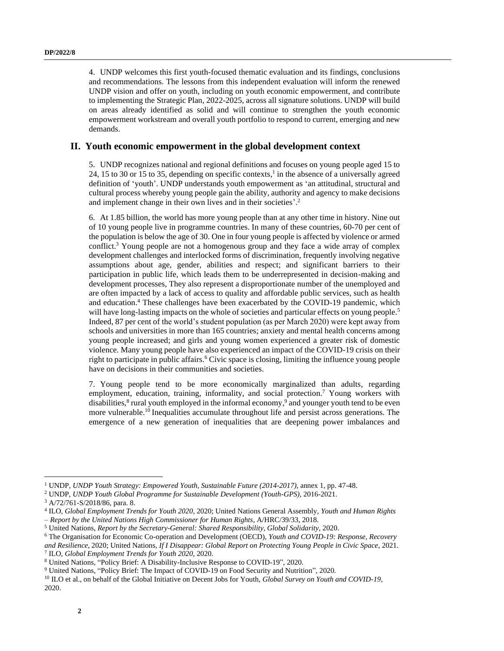4. UNDP welcomes this first youth-focused thematic evaluation and its findings, conclusions and recommendations. The lessons from this independent evaluation will inform the renewed UNDP vision and offer on youth, including on youth economic empowerment, and contribute to implementing the Strategic Plan, 2022-2025, across all signature solutions. UNDP will build on areas already identified as solid and will continue to strengthen the youth economic empowerment workstream and overall youth portfolio to respond to current, emerging and new demands.

### **II. Youth economic empowerment in the global development context**

5. UNDP recognizes national and regional definitions and focuses on young people aged 15 to 24, 15 to 30 or 15 to 35, depending on specific contexts, 1 in the absence of a universally agreed definition of 'youth'. UNDP understands youth empowerment as 'an attitudinal, structural and cultural process whereby young people gain the ability, authority and agency to make decisions and implement change in their own lives and in their societies'.<sup>2</sup>

6. At 1.85 billion, the world has more young people than at any other time in history. Nine out of 10 young people live in programme countries. In many of these countries, 60-70 per cent of the population is below the age of 30. One in four young people is affected by violence or armed conflict.<sup>3</sup> Young people are not a homogenous group and they face a wide array of complex development challenges and interlocked forms of discrimination, frequently involving negative assumptions about age, gender, abilities and respect; and significant barriers to their participation in public life, which leads them to be underrepresented in decision-making and development processes, They also represent a disproportionate number of the unemployed and are often impacted by a lack of access to quality and affordable public services, such as health and education. <sup>4</sup> These challenges have been exacerbated by the COVID-19 pandemic, which will have long-lasting impacts on the whole of societies and particular effects on young people.<sup>5</sup> Indeed, 87 per cent of the world's student population (as per March 2020) were kept away from schools and universities in more than 165 countries; anxiety and mental health concerns among young people increased; and girls and young women experienced a greater risk of domestic violence. Many young people have also experienced an impact of the COVID-19 crisis on their right to participate in public affairs. <sup>6</sup> Civic space is closing, limiting the influence young people have on decisions in their communities and societies.

7. Young people tend to be more economically marginalized than adults, regarding employment, education, training, informality, and social protection.<sup>7</sup> Young workers with disabilities, 8 rural youth employed in the informal economy, 9 and younger youth tend to be even more vulnerable.<sup>10</sup> Inequalities accumulate throughout life and persist across generations. The emergence of a new generation of inequalities that are deepening power imbalances and

<sup>1</sup> UNDP, *UNDP Youth Strategy: Empowered Youth, Sustainable Future (2014-2017),* annex 1, pp. 47-48.

<sup>2</sup> UNDP, *UNDP Youth Global Programme for Sustainable Development (Youth-GPS)*, 2016-2021.

<sup>3</sup> A/72/761-S/2018/86, para. 8.

<sup>4</sup> ILO, *Global Employment Trends for Youth 2020*, 2020; United Nations General Assembly, *Youth and Human Rights – Report by the United Nations High Commissioner for Human Rights*, A/HRC/39/33, 2018.

<sup>5</sup> United Nations, *Report by the Secretary-General: Shared Responsibility, Global Solidarity*, 2020.

<sup>6</sup> The Organisation for Economic Co-operation and Development (OECD), *Youth and COVID-19: Response, Recovery* 

*and Resilience*, 2020; United Nations, *If I Disappear: Global Report on Protecting Young People in Civic Space*, 2021. 7 ILO, *Global Employment Trends for Youth 2020*, 2020.

<sup>8</sup> United Nations, "Policy Brief: A Disability-Inclusive Response to COVID-19", 2020.

<sup>9</sup> United Nations, "Policy Brief: The Impact of COVID-19 on Food Security and Nutrition", 2020.

<sup>10</sup> ILO et al., on behalf of the Global Initiative on Decent Jobs for Youth, *Global Survey on Youth and COVID-19,* 2020.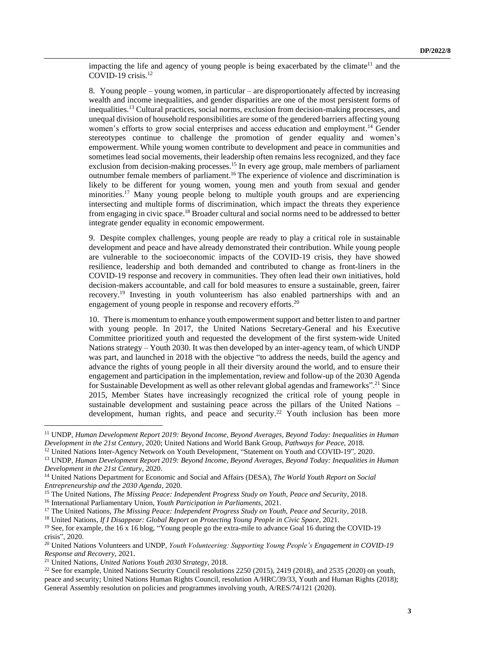impacting the life and agency of young people is being exacerbated by the climate<sup>11</sup> and the COVID-19 crisis. 12

8. Young people – young women, in particular – are disproportionately affected by increasing wealth and income inequalities, and gender disparities are one of the most persistent forms of inequalities. <sup>13</sup> Cultural practices, social norms, exclusion from decision-making processes, and unequal division of household responsibilities are some of the gendered barriers affecting young women's efforts to grow social enterprises and access education and employment. <sup>14</sup> Gender stereotypes continue to challenge the promotion of gender equality and women's empowerment. While young women contribute to development and peace in communities and sometimes lead social movements, their leadership often remains less recognized, and they face exclusion from decision-making processes.<sup>15</sup> In every age group, male members of parliament outnumber female members of parliament. <sup>16</sup> The experience of violence and discrimination is likely to be different for young women, young men and youth from sexual and gender minorities.<sup>17</sup> Many young people belong to multiple youth groups and are experiencing intersecting and multiple forms of discrimination, which impact the threats they experience from engaging in civic space.<sup>18</sup> Broader cultural and social norms need to be addressed to better integrate gender equality in economic empowerment.

9. Despite complex challenges, young people are ready to play a critical role in sustainable development and peace and have already demonstrated their contribution. While young people are vulnerable to the socioeconomic impacts of the COVID-19 crisis, they have showed resilience, leadership and both demanded and contributed to change as front-liners in the COVID-19 response and recovery in communities. They often lead their own initiatives, hold decision-makers accountable, and call for bold measures to ensure a sustainable, green, fairer recovery. <sup>19</sup> Investing in youth volunteerism has also enabled partnerships with and an engagement of young people in response and recovery efforts.<sup>20</sup>

10. There is momentum to enhance youth empowerment support and better listen to and partner with young people. In 2017, the United Nations Secretary-General and his Executive Committee prioritized youth and requested the development of the first system-wide United Nations strategy – Youth 2030. It was then developed by an inter-agency team, of which UNDP was part, and launched in 2018 with the objective "to address the needs, build the agency and advance the rights of young people in all their diversity around the world, and to ensure their engagement and participation in the implementation, review and follow-up of the 2030 Agenda for Sustainable Development as well as other relevant global agendas and frameworks".<sup>21</sup> Since 2015, Member States have increasingly recognized the critical role of young people in sustainable development and sustaining peace across the pillars of the United Nations – development, human rights, and peace and security.<sup>22</sup> Youth inclusion has been more

<sup>11</sup> UNDP, *Human Development Report 2019: Beyond Income, Beyond Averages, Beyond Today: Inequalities in Human Development in the 21st Century*, 2020; United Nations and World Bank Group, *Pathways for Peace*, 2018.

<sup>&</sup>lt;sup>12</sup> United Nations Inter-Agency Network on Youth Development, "Statement on Youth and COVID-19", 2020.

<sup>13</sup> UNDP, *Human Development Report 2019: Beyond Income, Beyond Averages, Beyond Today: Inequalities in Human Development in the 21st Century*, 2020.

<sup>14</sup> United Nations Department for Economic and Social and Affairs (DESA), *The World Youth Report on Social Entrepreneurship and the 2030 Agenda*, 2020.

<sup>15</sup> The United Nations, *The Missing Peace: Independent Progress Study on Youth, Peace and Security*, 2018.

<sup>16</sup> International Parliamentary Union, *Youth Participation in Parliaments*, 2021.

<sup>&</sup>lt;sup>17</sup> The United Nations, *The Missing Peace: Independent Progress Study on Youth, Peace and Security, 2018.* 

<sup>18</sup> United Nations, *If I Disappear: Global Report on Protecting Young People in Civic Space*, 2021.

<sup>&</sup>lt;sup>19</sup> See, for example, the 16 x 16 blog, "Young people go the extra-mile to advance Goal 16 during the COVID-19 crisis", 2020.

<sup>20</sup> United Nations Volunteers and UNDP, *Youth Volunteering: Supporting Young People's Engagement in COVID-19 Response and Recovery*, 2021.

<sup>21</sup> United Nations, *United Nations Youth 2030 Strategy*, 2018.

<sup>&</sup>lt;sup>22</sup> See for example, United Nations Security Council resolutions  $2250 (2015)$ ,  $2419 (2018)$ , and  $2535 (2020)$  on youth, peace and security; United Nations Human Rights Council, resolution A/HRC/39/33, Youth and Human Rights (2018); General Assembly resolution on policies and programmes involving youth, A/RES/74/121 (2020).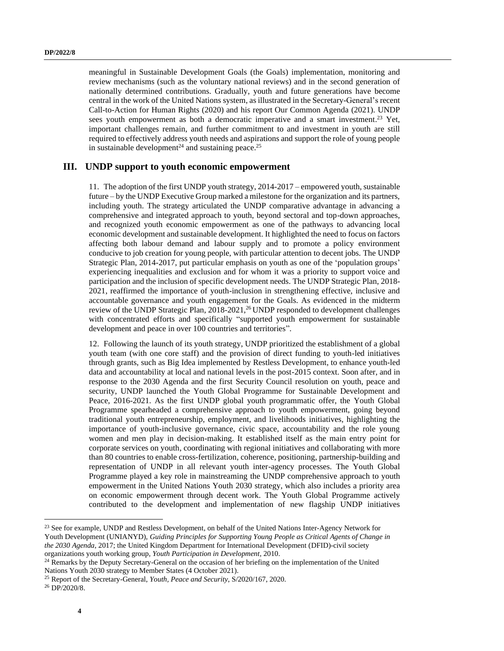meaningful in Sustainable Development Goals (the Goals) implementation, monitoring and review mechanisms (such as the voluntary national reviews) and in the second generation of nationally determined contributions. Gradually, youth and future generations have become central in the work of the United Nations system, as illustrated in the Secretary-General's recent Call-to-Action for Human Rights (2020) and his report Our Common Agenda (2021). UNDP sees youth empowerment as both a democratic imperative and a smart investment.<sup>23</sup> Yet, important challenges remain, and further commitment to and investment in youth are still required to effectively address youth needs and aspirations and support the role of young people in sustainable development<sup>24</sup> and sustaining peace.<sup>25</sup>

### **III. UNDP support to youth economic empowerment**

11. The adoption of the first UNDP youth strategy, 2014-2017 – empowered youth, sustainable future – by the UNDP Executive Group marked a milestone for the organization and its partners, including youth. The strategy articulated the UNDP comparative advantage in advancing a comprehensive and integrated approach to youth, beyond sectoral and top-down approaches, and recognized youth economic empowerment as one of the pathways to advancing local economic development and sustainable development. It highlighted the need to focus on factors affecting both labour demand and labour supply and to promote a policy environment conducive to job creation for young people, with particular attention to decent jobs. The UNDP Strategic Plan, 2014-2017, put particular emphasis on youth as one of the 'population groups' experiencing inequalities and exclusion and for whom it was a priority to support voice and participation and the inclusion of specific development needs. The UNDP Strategic Plan, 2018- 2021, reaffirmed the importance of youth-inclusion in strengthening effective, inclusive and accountable governance and youth engagement for the Goals. As evidenced in the midterm review of the UNDP Strategic Plan,  $2018-2021<sup>26</sup>$  UNDP responded to development challenges with concentrated efforts and specifically "supported youth empowerment for sustainable development and peace in over 100 countries and territories".

12. Following the launch of its youth strategy, UNDP prioritized the establishment of a global youth team (with one core staff) and the provision of direct funding to youth-led initiatives through grants, such as Big Idea implemented by Restless Development, to enhance youth-led data and accountability at local and national levels in the post-2015 context. Soon after, and in response to the 2030 Agenda and the first Security Council resolution on youth, peace and security, UNDP launched the Youth Global Programme for Sustainable Development and Peace, 2016-2021. As the first UNDP global youth programmatic offer, the Youth Global Programme spearheaded a comprehensive approach to youth empowerment, going beyond traditional youth entrepreneurship, employment, and livelihoods initiatives, highlighting the importance of youth-inclusive governance, civic space, accountability and the role young women and men play in decision-making. It established itself as the main entry point for corporate services on youth, coordinating with regional initiatives and collaborating with more than 80 countries to enable cross-fertilization, coherence, positioning, partnership-building and representation of UNDP in all relevant youth inter-agency processes. The Youth Global Programme played a key role in mainstreaming the UNDP comprehensive approach to youth empowerment in the United Nations Youth 2030 strategy, which also includes a priority area on economic empowerment through decent work. The Youth Global Programme actively contributed to the development and implementation of new flagship UNDP initiatives

<sup>&</sup>lt;sup>23</sup> See for example, UNDP and Restless Development, on behalf of the United Nations Inter-Agency Network for Youth Development (UNIANYD), *Guiding Principles for Supporting Young People as Critical Agents of Change in the 2030 Agenda*, 2017; the United Kingdom Department for International Development (DFID)-civil society organizations youth working group, *Youth Participation in Development*, 2010.

<sup>&</sup>lt;sup>24</sup> Remarks by the Deputy Secretary-General on the occasion of her briefing on the implementation of the United Nations Youth 2030 strategy to Member States (4 October 2021).

<sup>25</sup> Report of the Secretary-General, *Youth, Peace and Security*, S/2020/167, 2020.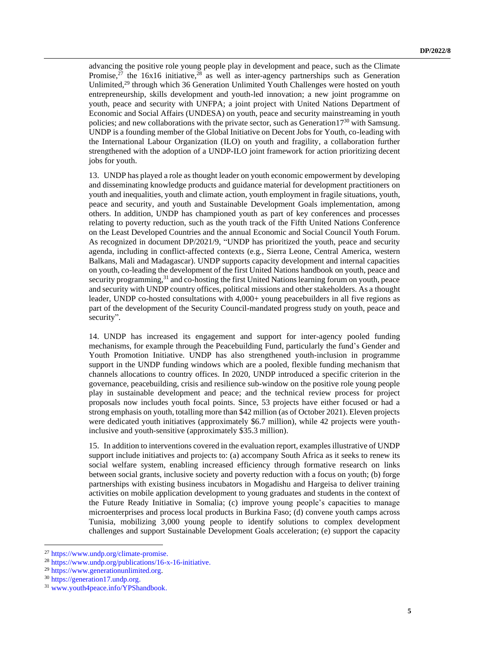advancing the positive role young people play in development and peace, such as the Climate Promise,<sup>27</sup> the 16x16 initiative, <sup>28</sup> as well as inter-agency partnerships such as Generation Unlimited,<sup>29</sup> through which 36 Generation Unlimited Youth Challenges were hosted on youth entrepreneurship, skills development and youth-led innovation; a new joint programme on youth, peace and security with UNFPA; a joint project with United Nations Department of Economic and Social Affairs (UNDESA) on youth, peace and security mainstreaming in youth policies; and new collaborations with the private sector, such as Generation17 $30$  with Samsung. UNDP is a founding member of the Global Initiative on Decent Jobs for Youth, co-leading with the International Labour Organization (ILO) on youth and fragility, a collaboration further strengthened with the adoption of a UNDP-ILO joint framework for action prioritizing decent jobs for youth.

13. UNDP has played a role as thought leader on youth economic empowerment by developing and disseminating knowledge products and guidance material for development practitioners on youth and inequalities, youth and climate action, youth employment in fragile situations, youth, peace and security, and youth and Sustainable Development Goals implementation, among others. In addition, UNDP has championed youth as part of key conferences and processes relating to poverty reduction, such as the youth track of the Fifth United Nations Conference on the Least Developed Countries and the annual Economic and Social Council Youth Forum. As recognized in document DP/2021/9, "UNDP has prioritized the youth, peace and security agenda, including in conflict-affected contexts (e.g., Sierra Leone, Central America, western Balkans, Mali and Madagascar). UNDP supports capacity development and internal capacities on youth, co-leading the development of the first United Nations handbook on youth, peace and security programming,<sup>31</sup> and co-hosting the first United Nations learning forum on youth, peace and security with UNDP country offices, political missions and other stakeholders. As a thought leader, UNDP co-hosted consultations with 4,000+ young peacebuilders in all five regions as part of the development of the Security Council-mandated progress study on youth, peace and security".

14. UNDP has increased its engagement and support for inter-agency pooled funding mechanisms, for example through the Peacebuilding Fund, particularly the fund's Gender and Youth Promotion Initiative. UNDP has also strengthened youth-inclusion in programme support in the UNDP funding windows which are a pooled, flexible funding mechanism that channels allocations to country offices. In 2020, UNDP introduced a specific criterion in the governance, peacebuilding, crisis and resilience sub-window on the positive role young people play in sustainable development and peace; and the technical review process for project proposals now includes youth focal points. Since, 53 projects have either focused or had a strong emphasis on youth, totalling more than \$42 million (as of October 2021). Eleven projects were dedicated youth initiatives (approximately \$6.7 million), while 42 projects were youthinclusive and youth-sensitive (approximately \$35.3 million).

15. In addition to interventions covered in the evaluation report, examplesillustrative of UNDP support include initiatives and projects to: (a) accompany South Africa as it seeks to renew its social welfare system, enabling increased efficiency through formative research on links between social grants, inclusive society and poverty reduction with a focus on youth; (b) forge partnerships with existing business incubators in Mogadishu and Hargeisa to deliver training activities on mobile application development to young graduates and students in the context of the Future Ready Initiative in Somalia; (c) improve young people's capacities to manage microenterprises and process local products in Burkina Faso; (d) convene youth camps across Tunisia, mobilizing 3,000 young people to identify solutions to complex development challenges and support Sustainable Development Goals acceleration; (e) support the capacity

<sup>27</sup> [https://www.undp.org/climate-promise.](https://www.undp.org/climate-promise)

<sup>28</sup> [https://www.undp.org/publications/16-x-16-initiative.](https://www.undp.org/publications/16-x-16-initiative)

<sup>29</sup> [https://www.generationunlimited.org.](https://www.generationunlimited.org/)

<sup>30</sup> [https://generation17.undp.org.](https://generation17.undp.org/)

<sup>31</sup> [www.youth4peace.info/YPShandbook.](http://www.youth4peace.info/YPShandbook)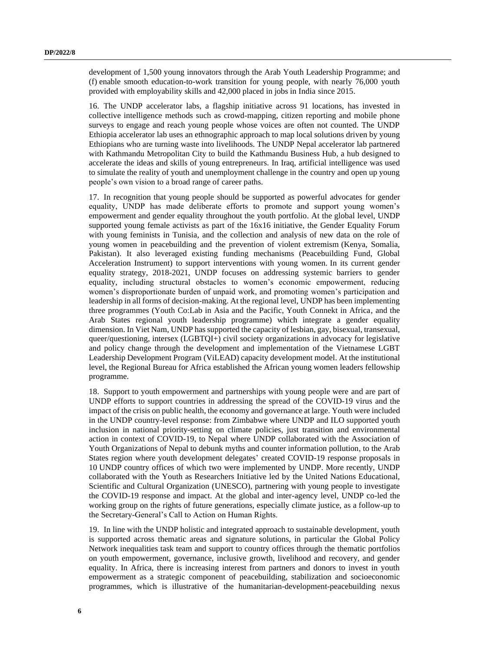development of 1,500 young innovators through the Arab Youth Leadership Programme; and (f) enable smooth education-to-work transition for young people, with nearly 76,000 youth provided with employability skills and 42,000 placed in jobs in India since 2015.

16. The UNDP accelerator labs, a flagship initiative across 91 locations, has invested in collective intelligence methods such as crowd-mapping, citizen reporting and mobile phone surveys to engage and reach young people whose voices are often not counted. The UNDP Ethiopia accelerator lab uses an ethnographic approach to map local solutions driven by young Ethiopians who are turning waste into livelihoods. The UNDP Nepal accelerator lab partnered with Kathmandu Metropolitan City to build the Kathmandu Business Hub, a hub designed to accelerate the ideas and skills of young entrepreneurs. In Iraq, artificial intelligence was used to simulate the reality of youth and unemployment challenge in the country and open up young people's own vision to a broad range of career paths.

17. In recognition that young people should be supported as powerful advocates for gender equality, UNDP has made deliberate efforts to promote and support young women's empowerment and gender equality throughout the youth portfolio. At the global level, UNDP supported young female activists as part of the 16x16 initiative, the Gender Equality Forum with young feminists in Tunisia, and the collection and analysis of new data on the role of young women in peacebuilding and the prevention of violent extremism (Kenya, Somalia, Pakistan). It also leveraged existing funding mechanisms (Peacebuilding Fund, Global Acceleration Instrument) to support interventions with young women. In its current gender equality strategy, 2018-2021, UNDP focuses on addressing systemic barriers to gender equality, including structural obstacles to women's economic empowerment, reducing women's disproportionate burden of unpaid work, and promoting women's participation and leadership in all forms of decision-making. At the regional level, UNDP has been implementing three programmes (Youth Co:Lab in Asia and the Pacific, Youth Connekt in Africa, and the Arab States regional youth leadership programme) which integrate a gender equality dimension. In Viet Nam, UNDP has supported the capacity of lesbian, gay, bisexual, transexual, queer/questioning, intersex (LGBTQI+) civil society organizations in advocacy for legislative and policy change through the development and implementation of the Vietnamese LGBT Leadership Development Program (ViLEAD) capacity development model. At the institutional level, the Regional Bureau for Africa established the African young women leaders fellowship programme.

18. Support to youth empowerment and partnerships with young people were and are part of UNDP efforts to support countries in addressing the spread of the COVID-19 virus and the impact of the crisis on public health, the economy and governance at large. Youth were included in the UNDP country-level response: from Zimbabwe where UNDP and ILO supported youth inclusion in national priority-setting on climate policies, just transition and environmental action in context of COVID-19, to Nepal where UNDP collaborated with the Association of Youth Organizations of Nepal to debunk myths and counter information pollution, to the Arab States region where youth development delegates' created COVID-19 response proposals in 10 UNDP country offices of which two were implemented by UNDP. More recently, UNDP collaborated with the Youth as Researchers Initiative led by the United Nations Educational, Scientific and Cultural Organization (UNESCO), partnering with young people to investigate the COVID-19 response and impact. At the global and inter-agency level, UNDP co-led the working group on the rights of future generations, especially climate justice, as a follow-up to the Secretary-General's Call to Action on Human Rights.

19. In line with the UNDP holistic and integrated approach to sustainable development, youth is supported across thematic areas and signature solutions, in particular the Global Policy Network inequalities task team and support to country offices through the thematic portfolios on youth empowerment, governance, inclusive growth, livelihood and recovery, and gender equality. In Africa, there is increasing interest from partners and donors to invest in youth empowerment as a strategic component of peacebuilding, stabilization and socioeconomic programmes, which is illustrative of the humanitarian-development-peacebuilding nexus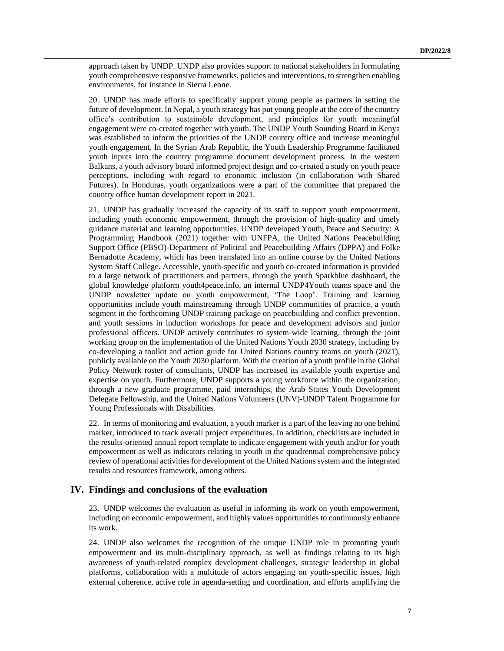approach taken by UNDP. UNDP also provides support to national stakeholders in formulating youth comprehensive responsive frameworks, policies and interventions, to strengthen enabling environments, for instance in Sierra Leone.

20. UNDP has made efforts to specifically support young people as partners in setting the future of development. In Nepal, a youth strategy has put young people at the core of the country office's contribution to sustainable development, and principles for youth meaningful engagement were co-created together with youth. The UNDP Youth Sounding Board in Kenya was established to inform the priorities of the UNDP country office and increase meaningful youth engagement. In the Syrian Arab Republic, the Youth Leadership Programme facilitated youth inputs into the country programme document development process. In the western Balkans, a youth advisory board informed project design and co-created a study on youth peace perceptions, including with regard to economic inclusion (in collaboration with Shared Futures). In Honduras, youth organizations were a part of the committee that prepared the country office human development report in 2021.

21. UNDP has gradually increased the capacity of its staff to support youth empowerment, including youth economic empowerment, through the provision of high-quality and timely guidance material and learning opportunities. UNDP developed Youth, Peace and Security: A Programming Handbook (2021) together with UNFPA, the United Nations Peacebuilding Support Office (PBSO)-Department of Political and Peacebuilding Affairs (DPPA) and Folke Bernadotte Academy, which has been translated into an online course by the United Nations System Staff College. Accessible, youth-specific and youth co-created information is provided to a large network of practitioners and partners, through the youth Sparkblue dashboard, the global knowledge platform youth4peace.info, an internal UNDP4Youth teams space and the UNDP newsletter update on youth empowerment, 'The Loop'. Training and learning opportunities include youth mainstreaming through UNDP communities of practice, a youth segment in the forthcoming UNDP training package on peacebuilding and conflict prevention, and youth sessions in induction workshops for peace and development advisors and junior professional officers. UNDP actively contributes to system-wide learning, through the joint working group on the implementation of the United Nations Youth 2030 strategy, including by co-developing a toolkit and action guide for United Nations country teams on youth (2021), publicly available on the Youth 2030 platform. With the creation of a youth profile in the Global Policy Network roster of consultants, UNDP has increased its available youth expertise and expertise on youth. Furthermore, UNDP supports a young workforce within the organization, through a new graduate programme, paid internships, the Arab States Youth Development Delegate Fellowship, and the United Nations Volunteers (UNV)-UNDP Talent Programme for Young Professionals with Disabilities.

22. In terms of monitoring and evaluation, a youth marker is a part of the leaving no one behind marker, introduced to track overall project expenditures. In addition, checklists are included in the results-oriented annual report template to indicate engagement with youth and/or for youth empowerment as well as indicators relating to youth in the quadrennial comprehensive policy review of operational activities for development of the United Nations system and the integrated results and resources framework, among others.

### **IV. Findings and conclusions of the evaluation**

23. UNDP welcomes the evaluation as useful in informing its work on youth empowerment, including on economic empowerment, and highly values opportunities to continuously enhance its work.

24. UNDP also welcomes the recognition of the unique UNDP role in promoting youth empowerment and its multi-disciplinary approach, as well as findings relating to its high awareness of youth-related complex development challenges, strategic leadership in global platforms, collaboration with a multitude of actors engaging on youth-specific issues, high external coherence, active role in agenda-setting and coordination, and efforts amplifying the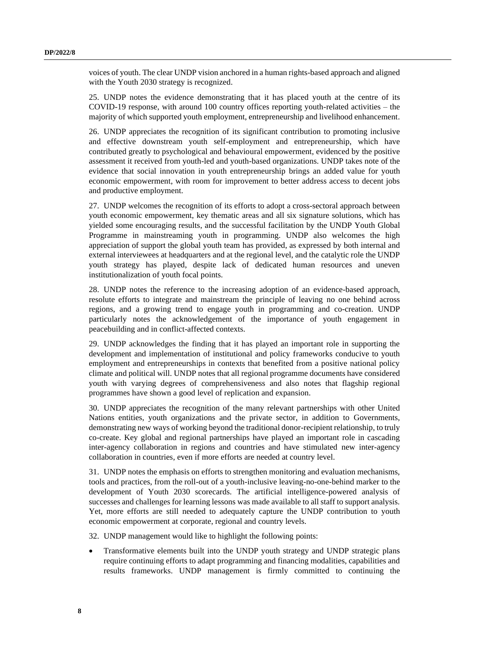voices of youth. The clear UNDP vision anchored in a human rights-based approach and aligned with the Youth 2030 strategy is recognized.

25. UNDP notes the evidence demonstrating that it has placed youth at the centre of its COVID-19 response, with around 100 country offices reporting youth-related activities – the majority of which supported youth employment, entrepreneurship and livelihood enhancement.

26. UNDP appreciates the recognition of its significant contribution to promoting inclusive and effective downstream youth self-employment and entrepreneurship, which have contributed greatly to psychological and behavioural empowerment, evidenced by the positive assessment it received from youth-led and youth-based organizations. UNDP takes note of the evidence that social innovation in youth entrepreneurship brings an added value for youth economic empowerment, with room for improvement to better address access to decent jobs and productive employment.

27. UNDP welcomes the recognition of its efforts to adopt a cross-sectoral approach between youth economic empowerment, key thematic areas and all six signature solutions, which has yielded some encouraging results, and the successful facilitation by the UNDP Youth Global Programme in mainstreaming youth in programming. UNDP also welcomes the high appreciation of support the global youth team has provided, as expressed by both internal and external interviewees at headquarters and at the regional level, and the catalytic role the UNDP youth strategy has played, despite lack of dedicated human resources and uneven institutionalization of youth focal points.

28. UNDP notes the reference to the increasing adoption of an evidence-based approach, resolute efforts to integrate and mainstream the principle of leaving no one behind across regions, and a growing trend to engage youth in programming and co-creation. UNDP particularly notes the acknowledgement of the importance of youth engagement in peacebuilding and in conflict-affected contexts.

29. UNDP acknowledges the finding that it has played an important role in supporting the development and implementation of institutional and policy frameworks conducive to youth employment and entrepreneurships in contexts that benefited from a positive national policy climate and political will. UNDP notes that all regional programme documents have considered youth with varying degrees of comprehensiveness and also notes that flagship regional programmes have shown a good level of replication and expansion.

30. UNDP appreciates the recognition of the many relevant partnerships with other United Nations entities, youth organizations and the private sector, in addition to Governments, demonstrating new ways of working beyond the traditional donor-recipient relationship, to truly co-create. Key global and regional partnerships have played an important role in cascading inter-agency collaboration in regions and countries and have stimulated new inter-agency collaboration in countries, even if more efforts are needed at country level.

31. UNDP notes the emphasis on efforts to strengthen monitoring and evaluation mechanisms, tools and practices, from the roll-out of a youth-inclusive leaving-no-one-behind marker to the development of Youth 2030 scorecards. The artificial intelligence-powered analysis of successes and challenges for learning lessons was made available to all staff to support analysis. Yet, more efforts are still needed to adequately capture the UNDP contribution to youth economic empowerment at corporate, regional and country levels.

32. UNDP management would like to highlight the following points:

• Transformative elements built into the UNDP youth strategy and UNDP strategic plans require continuing efforts to adapt programming and financing modalities, capabilities and results frameworks. UNDP management is firmly committed to continuing the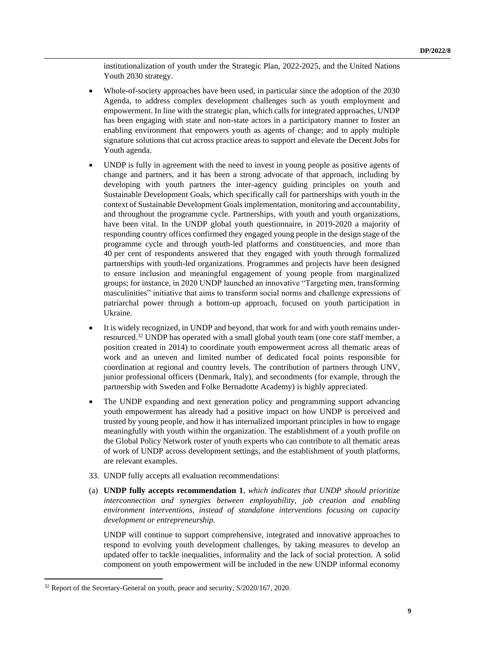institutionalization of youth under the Strategic Plan, 2022-2025, and the United Nations Youth 2030 strategy.

- Whole-of-society approaches have been used, in particular since the adoption of the 2030 Agenda, to address complex development challenges such as youth employment and empowerment. In line with the strategic plan, which calls for integrated approaches, UNDP has been engaging with state and non-state actors in a participatory manner to foster an enabling environment that empowers youth as agents of change; and to apply multiple signature solutions that cut across practice areas to support and elevate the Decent Jobs for Youth agenda.
- UNDP is fully in agreement with the need to invest in young people as positive agents of change and partners, and it has been a strong advocate of that approach, including by developing with youth partners the inter-agency guiding principles on youth and Sustainable Development Goals, which specifically call for partnerships with youth in the context of Sustainable Development Goalsimplementation, monitoring and accountability, and throughout the programme cycle. Partnerships, with youth and youth organizations, have been vital. In the UNDP global youth questionnaire, in 2019-2020 a majority of responding country offices confirmed they engaged young people in the design stage of the programme cycle and through youth-led platforms and constituencies, and more than 40 per cent of respondents answered that they engaged with youth through formalized partnerships with youth-led organizations. Programmes and projects have been designed to ensure inclusion and meaningful engagement of young people from marginalized groups; for instance, in 2020 UNDP launched an innovative "Targeting men, transforming masculinities" initiative that aims to transform social norms and challenge expressions of patriarchal power through a bottom-up approach, focused on youth participation in Ukraine.
- It is widely recognized, in UNDP and beyond, that work for and with youth remains underresourced.<sup>32</sup> UNDP has operated with a small global youth team (one core staff member, a position created in 2014) to coordinate youth empowerment across all thematic areas of work and an uneven and limited number of dedicated focal points responsible for coordination at regional and country levels. The contribution of partners through UNV, junior professional officers (Denmark, Italy), and secondments (for example, through the partnership with Sweden and Folke Bernadotte Academy) is highly appreciated.
- The UNDP expanding and next generation policy and programming support advancing youth empowerment has already had a positive impact on how UNDP is perceived and trusted by young people, and how it has internalized important principles in how to engage meaningfully with youth within the organization. The establishment of a youth profile on the Global Policy Network roster of youth experts who can contribute to all thematic areas of work of UNDP across development settings, and the establishment of youth platforms, are relevant examples.
- 33. UNDP fully accepts all evaluation recommendations:
- (a) **UNDP fully accepts recommendation 1**, *which indicates that UNDP should prioritize interconnection and synergies between employability, job creation and enabling environment interventions, instead of standalone interventions focusing on capacity development or entrepreneurship.*

UNDP will continue to support comprehensive, integrated and innovative approaches to respond to evolving youth development challenges, by taking measures to develop an updated offer to tackle inequalities, informality and the lack of social protection. A solid component on youth empowerment will be included in the new UNDP informal economy

<sup>&</sup>lt;sup>32</sup> Report of the Secretary-General on youth, peace and security, S/2020/167, 2020.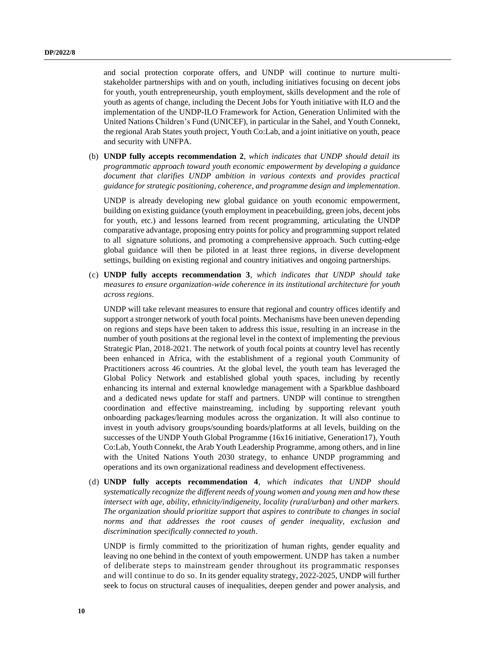and social protection corporate offers, and UNDP will continue to nurture multistakeholder partnerships with and on youth, including initiatives focusing on decent jobs for youth, youth entrepreneurship, youth employment, skills development and the role of youth as agents of change, including the Decent Jobs for Youth initiative with ILO and the implementation of the UNDP-ILO Framework for Action, Generation Unlimited with the United Nations Children's Fund (UNICEF), in particular in the Sahel, and Youth Connekt, the regional Arab States youth project, Youth Co:Lab, and a joint initiative on youth, peace and security with UNFPA.

(b) **UNDP fully accepts recommendation 2**, *which indicates that UNDP should detail its programmatic approach toward youth economic empowerment by developing a guidance document that clarifies UNDP ambition in various contexts and provides practical guidance for strategic positioning, coherence, and programme design and implementation*.

UNDP is already developing new global guidance on youth economic empowerment, building on existing guidance (youth employment in peacebuilding, green jobs, decent jobs for youth, etc.) and lessons learned from recent programming, articulating the UNDP comparative advantage, proposing entry points for policy and programming support related to all signature solutions, and promoting a comprehensive approach. Such cutting-edge global guidance will then be piloted in at least three regions, in diverse development settings, building on existing regional and country initiatives and ongoing partnerships.

(c) **UNDP fully accepts recommendation 3**, *which indicates that UNDP should take measures to ensure organization-wide coherence in its institutional architecture for youth across regions*.

UNDP will take relevant measures to ensure that regional and country offices identify and support a stronger network of youth focal points. Mechanisms have been uneven depending on regions and steps have been taken to address this issue, resulting in an increase in the number of youth positions at the regional level in the context of implementing the previous Strategic Plan, 2018-2021. The network of youth focal points at country level has recently been enhanced in Africa, with the establishment of a regional youth Community of Practitioners across 46 countries. At the global level, the youth team has leveraged the Global Policy Network and established global youth spaces, including by recently enhancing its internal and external knowledge management with a Sparkblue dashboard and a dedicated news update for staff and partners. UNDP will continue to strengthen coordination and effective mainstreaming, including by supporting relevant youth onboarding packages/learning modules across the organization. It will also continue to invest in youth advisory groups/sounding boards/platforms at all levels, building on the successes of the UNDP Youth Global Programme (16x16 initiative, Generation17), Youth Co:Lab, Youth Connekt, the Arab Youth Leadership Programme, among others, and in line with the United Nations Youth 2030 strategy, to enhance UNDP programming and operations and its own organizational readiness and development effectiveness.

(d) **UNDP fully accepts recommendation 4**, *which indicates that UNDP should systematically recognize the different needs of young women and young men and how these intersect with age, ability, ethnicity/indigeneity, locality (rural/urban) and other markers. The organization should prioritize support that aspires to contribute to changes in social norms and that addresses the root causes of gender inequality, exclusion and discrimination specifically connected to youth*.

UNDP is firmly committed to the prioritization of human rights, gender equality and leaving no one behind in the context of youth empowerment. UNDP has taken a number of deliberate steps to mainstream gender throughout its programmatic responses and will continue to do so. In its gender equality strategy, 2022-2025, UNDP will further seek to focus on structural causes of inequalities, deepen gender and power analysis, and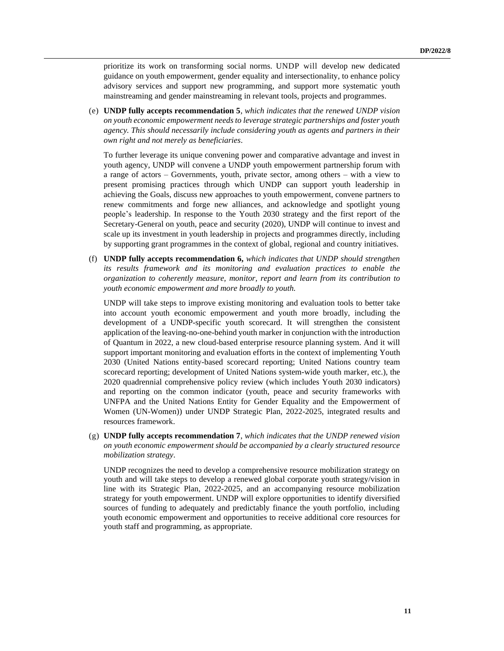prioritize its work on transforming social norms. UNDP will develop new dedicated guidance on youth empowerment, gender equality and intersectionality, to enhance policy advisory services and support new programming, and support more systematic youth mainstreaming and gender mainstreaming in relevant tools, projects and programmes.

(e) **UNDP fully accepts recommendation 5**, *which indicates that the renewed UNDP vision on youth economic empowerment needs to leverage strategic partnerships and foster youth agency. This should necessarily include considering youth as agents and partners in their own right and not merely as beneficiaries*.

To further leverage its unique convening power and comparative advantage and invest in youth agency, UNDP will convene a UNDP youth empowerment partnership forum with a range of actors – Governments, youth, private sector, among others – with a view to present promising practices through which UNDP can support youth leadership in achieving the Goals, discuss new approaches to youth empowerment, convene partners to renew commitments and forge new alliances, and acknowledge and spotlight young people's leadership. In response to the Youth 2030 strategy and the first report of the Secretary-General on youth, peace and security (2020), UNDP will continue to invest and scale up its investment in youth leadership in projects and programmes directly, including by supporting grant programmes in the context of global, regional and country initiatives.

(f) **UNDP fully accepts recommendation 6,** *which indicates that UNDP should strengthen its results framework and its monitoring and evaluation practices to enable the organization to coherently measure, monitor, report and learn from its contribution to youth economic empowerment and more broadly to youth.*

UNDP will take steps to improve existing monitoring and evaluation tools to better take into account youth economic empowerment and youth more broadly, including the development of a UNDP-specific youth scorecard. It will strengthen the consistent application of the leaving-no-one-behind youth marker in conjunction with the introduction of Quantum in 2022, a new cloud-based enterprise resource planning system. And it will support important monitoring and evaluation efforts in the context of implementing Youth 2030 (United Nations entity-based scorecard reporting; United Nations country team scorecard reporting; development of United Nations system-wide youth marker, etc.), the 2020 quadrennial comprehensive policy review (which includes Youth 2030 indicators) and reporting on the common indicator (youth, peace and security frameworks with UNFPA and the United Nations Entity for Gender Equality and the Empowerment of Women (UN-Women)) under UNDP Strategic Plan, 2022-2025, integrated results and resources framework.

(g) **UNDP fully accepts recommendation 7**, *which indicates that the UNDP renewed vision on youth economic empowerment should be accompanied by a clearly structured resource mobilization strategy*.

UNDP recognizes the need to develop a comprehensive resource mobilization strategy on youth and will take steps to develop a renewed global corporate youth strategy/vision in line with its Strategic Plan, 2022-2025, and an accompanying resource mobilization strategy for youth empowerment. UNDP will explore opportunities to identify diversified sources of funding to adequately and predictably finance the youth portfolio, including youth economic empowerment and opportunities to receive additional core resources for youth staff and programming, as appropriate.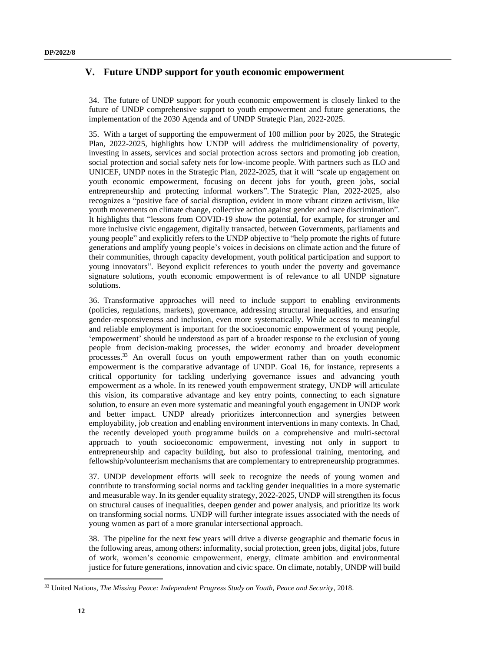## **V. Future UNDP support for youth economic empowerment**

34. The future of UNDP support for youth economic empowerment is closely linked to the future of UNDP comprehensive support to youth empowerment and future generations, the implementation of the 2030 Agenda and of UNDP Strategic Plan, 2022-2025.

35. With a target of supporting the empowerment of 100 million poor by 2025, the Strategic Plan, 2022-2025, highlights how UNDP will address the multidimensionality of poverty, investing in assets, services and social protection across sectors and promoting job creation, social protection and social safety nets for low-income people. With partners such as ILO and UNICEF, UNDP notes in the Strategic Plan, 2022-2025, that it will "scale up engagement on youth economic empowerment, focusing on decent jobs for youth, green jobs, social entrepreneurship and protecting informal workers". The Strategic Plan, 2022-2025, also recognizes a "positive face of social disruption, evident in more vibrant citizen activism, like youth movements on climate change, collective action against gender and race discrimination". It highlights that "lessons from COVID-19 show the potential, for example, for stronger and more inclusive civic engagement, digitally transacted, between Governments, parliaments and young people" and explicitly refers to the UNDP objective to "help promote the rights of future generations and amplify young people's voices in decisions on climate action and the future of their communities, through capacity development, youth political participation and support to young innovators". Beyond explicit references to youth under the poverty and governance signature solutions, youth economic empowerment is of relevance to all UNDP signature solutions.

36. Transformative approaches will need to include support to enabling environments (policies, regulations, markets), governance, addressing structural inequalities, and ensuring gender-responsiveness and inclusion, even more systematically. While access to meaningful and reliable employment is important for the socioeconomic empowerment of young people, 'empowerment' should be understood as part of a broader response to the exclusion of young people from decision-making processes, the wider economy and broader development processes.<sup>33</sup> An overall focus on youth empowerment rather than on youth economic empowerment is the comparative advantage of UNDP. Goal 16, for instance, represents a critical opportunity for tackling underlying governance issues and advancing youth empowerment as a whole. In its renewed youth empowerment strategy, UNDP will articulate this vision, its comparative advantage and key entry points, connecting to each signature solution, to ensure an even more systematic and meaningful youth engagement in UNDP work and better impact. UNDP already prioritizes interconnection and synergies between employability, job creation and enabling environment interventions in many contexts. In Chad, the recently developed youth programme builds on a comprehensive and multi-sectoral approach to youth socioeconomic empowerment, investing not only in support to entrepreneurship and capacity building, but also to professional training, mentoring, and fellowship/volunteerism mechanisms that are complementary to entrepreneurship programmes.

37. UNDP development efforts will seek to recognize the needs of young women and contribute to transforming social norms and tackling gender inequalities in a more systematic and measurable way. In its gender equality strategy, 2022-2025, UNDP will strengthen its focus on structural causes of inequalities, deepen gender and power analysis, and prioritize its work on transforming social norms. UNDP will further integrate issues associated with the needs of young women as part of a more granular intersectional approach.

38. The pipeline for the next few years will drive a diverse geographic and thematic focus in the following areas, among others: informality, social protection, green jobs, digital jobs, future of work, women's economic empowerment, energy, climate ambition and environmental justice for future generations, innovation and civic space. On climate, notably, UNDP will build

<sup>33</sup> United Nations, *The Missing Peace: Independent Progress Study on Youth, Peace and Security*, 2018.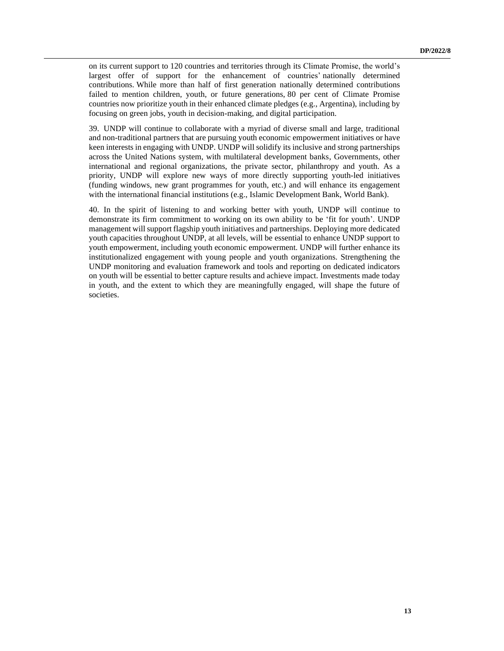on its current support to 120 countries and territories through its Climate Promise, the world's largest offer of support for the enhancement of countries' nationally determined contributions. While more than half of first generation nationally determined contributions failed to mention children, youth, or future generations, 80 per cent of Climate Promise countries now prioritize youth in their enhanced climate pledges (e.g., Argentina), including by focusing on green jobs, youth in decision-making, and digital participation.

39. UNDP will continue to collaborate with a myriad of diverse small and large, traditional and non-traditional partners that are pursuing youth economic empowerment initiatives or have keen interests in engaging with UNDP. UNDP will solidify its inclusive and strong partnerships across the United Nations system, with multilateral development banks, Governments, other international and regional organizations, the private sector, philanthropy and youth. As a priority, UNDP will explore new ways of more directly supporting youth-led initiatives (funding windows, new grant programmes for youth, etc.) and will enhance its engagement with the international financial institutions (e.g., Islamic Development Bank, World Bank).

40. In the spirit of listening to and working better with youth, UNDP will continue to demonstrate its firm commitment to working on its own ability to be 'fit for youth'. UNDP management will support flagship youth initiatives and partnerships. Deploying more dedicated youth capacities throughout UNDP, at all levels, will be essential to enhance UNDP support to youth empowerment, including youth economic empowerment. UNDP will further enhance its institutionalized engagement with young people and youth organizations. Strengthening the UNDP monitoring and evaluation framework and tools and reporting on dedicated indicators on youth will be essential to better capture results and achieve impact. Investments made today in youth, and the extent to which they are meaningfully engaged, will shape the future of societies.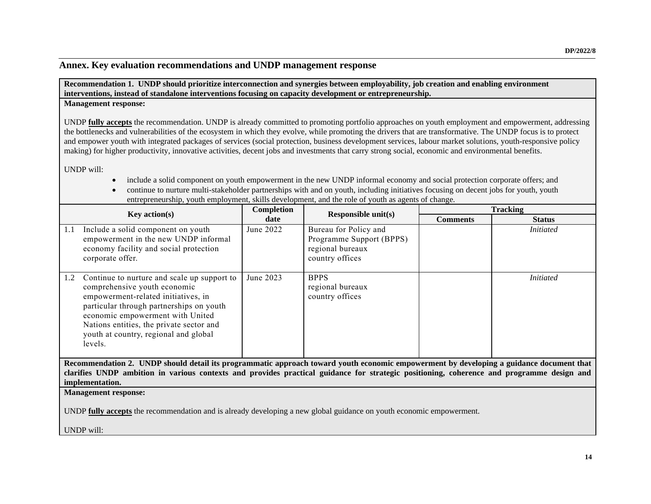## **Annex. Key evaluation recommendations and UNDP management response**

**Recommendation 1. UNDP should prioritize interconnection and synergies between employability, job creation and enabling environment interventions, instead of standalone interventions focusing on capacity development or entrepreneurship.**

#### **Management response:**

UNDP **fully accepts** the recommendation. UNDP is already committed to promoting portfolio approaches on youth employment and empowerment, addressing the bottlenecks and vulnerabilities of the ecosystem in which they evolve, while promoting the drivers that are transformative. The UNDP focus is to protect and empower youth with integrated packages of services (social protection, business development services, labour market solutions, youth-responsive policy making) for higher productivity, innovative activities, decent jobs and investments that carry strong social, economic and environmental benefits*.*

UNDP will:

- include a solid component on youth empowerment in the new UNDP informal economy and social protection corporate offers; and
- continue to nurture multi-stakeholder partnerships with and on youth, including initiatives focusing on decent jobs for youth, youth entrepreneurship, youth employment, skills development, and the role of youth as agents of change.

| <b>Key action(s)</b>                                                                                                                                                     |                                                                                                                                                                                                                                                                                                    | Completion<br>Responsible $unit(s)$<br>date |                                                                                          | <b>Tracking</b> |                  |  |
|--------------------------------------------------------------------------------------------------------------------------------------------------------------------------|----------------------------------------------------------------------------------------------------------------------------------------------------------------------------------------------------------------------------------------------------------------------------------------------------|---------------------------------------------|------------------------------------------------------------------------------------------|-----------------|------------------|--|
|                                                                                                                                                                          |                                                                                                                                                                                                                                                                                                    |                                             |                                                                                          | <b>Comments</b> | <b>Status</b>    |  |
| 1.1                                                                                                                                                                      | Include a solid component on youth<br>empowerment in the new UNDP informal<br>economy facility and social protection<br>corporate offer.                                                                                                                                                           | June 2022                                   | Bureau for Policy and<br>Programme Support (BPPS)<br>regional bureaux<br>country offices |                 | <i>Initiated</i> |  |
| 1.2                                                                                                                                                                      | Continue to nurture and scale up support to<br>comprehensive youth economic<br>empowerment-related initiatives, in<br>particular through partnerships on youth<br>economic empowerment with United<br>Nations entities, the private sector and<br>youth at country, regional and global<br>levels. | June 2023                                   | <b>BPPS</b><br>regional bureaux<br>country offices                                       |                 | <i>Initiated</i> |  |
| Recommendation 2. UNDP should detail its programmatic approach toward youth economic empowerment by developing a guidance document that                                  |                                                                                                                                                                                                                                                                                                    |                                             |                                                                                          |                 |                  |  |
| clarifies UNDP ambition in various contexts and provides practical guidance for strategic positioning, coherence and programme design and                                |                                                                                                                                                                                                                                                                                                    |                                             |                                                                                          |                 |                  |  |
| implementation.                                                                                                                                                          |                                                                                                                                                                                                                                                                                                    |                                             |                                                                                          |                 |                  |  |
| <b>Management response:</b><br>UNDP <b>fully accepts</b> the recommendation and is already developing a new global guidance on youth economic empowerment.<br>UNDP will: |                                                                                                                                                                                                                                                                                                    |                                             |                                                                                          |                 |                  |  |
|                                                                                                                                                                          |                                                                                                                                                                                                                                                                                                    |                                             |                                                                                          |                 |                  |  |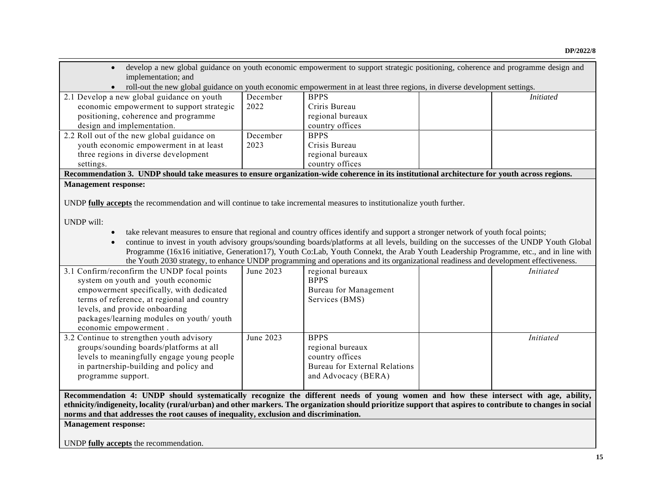| develop a new global guidance on youth economic empowerment to support strategic positioning, coherence and programme design and<br>implementation; and     |           |                                                                                                                                         |  |                  |  |  |
|-------------------------------------------------------------------------------------------------------------------------------------------------------------|-----------|-----------------------------------------------------------------------------------------------------------------------------------------|--|------------------|--|--|
| roll-out the new global guidance on youth economic empowerment in at least three regions, in diverse development settings.                                  |           |                                                                                                                                         |  |                  |  |  |
| 2.1 Develop a new global guidance on youth                                                                                                                  | December  | <b>BPPS</b>                                                                                                                             |  | <b>Initiated</b> |  |  |
| economic empowerment to support strategic                                                                                                                   | 2022      | Criris Bureau                                                                                                                           |  |                  |  |  |
| positioning, coherence and programme                                                                                                                        |           | regional bureaux                                                                                                                        |  |                  |  |  |
| design and implementation.                                                                                                                                  |           | country offices                                                                                                                         |  |                  |  |  |
| 2.2 Roll out of the new global guidance on                                                                                                                  | December  | <b>BPPS</b>                                                                                                                             |  |                  |  |  |
| youth economic empowerment in at least                                                                                                                      | 2023      | Crisis Bureau                                                                                                                           |  |                  |  |  |
| three regions in diverse development                                                                                                                        |           | regional bureaux                                                                                                                        |  |                  |  |  |
| settings.                                                                                                                                                   |           | country offices                                                                                                                         |  |                  |  |  |
| Recommendation 3. UNDP should take measures to ensure organization-wide coherence in its institutional architecture for youth across regions.               |           |                                                                                                                                         |  |                  |  |  |
| <b>Management response:</b>                                                                                                                                 |           |                                                                                                                                         |  |                  |  |  |
|                                                                                                                                                             |           |                                                                                                                                         |  |                  |  |  |
| UNDP fully accepts the recommendation and will continue to take incremental measures to institutionalize youth further.                                     |           |                                                                                                                                         |  |                  |  |  |
|                                                                                                                                                             |           |                                                                                                                                         |  |                  |  |  |
| <b>UNDP</b> will:                                                                                                                                           |           |                                                                                                                                         |  |                  |  |  |
| $\bullet$                                                                                                                                                   |           | take relevant measures to ensure that regional and country offices identify and support a stronger network of youth focal points;       |  |                  |  |  |
| $\bullet$                                                                                                                                                   |           | continue to invest in youth advisory groups/sounding boards/platforms at all levels, building on the successes of the UNDP Youth Global |  |                  |  |  |
|                                                                                                                                                             |           | Programme (16x16 initiative, Generation17), Youth Co:Lab, Youth Connekt, the Arab Youth Leadership Programme, etc., and in line with    |  |                  |  |  |
|                                                                                                                                                             |           | the Youth 2030 strategy, to enhance UNDP programming and operations and its organizational readiness and development effectiveness.     |  |                  |  |  |
| 3.1 Confirm/reconfirm the UNDP focal points                                                                                                                 | June 2023 | regional bureaux                                                                                                                        |  | <b>Initiated</b> |  |  |
| system on youth and youth economic                                                                                                                          |           | <b>BPPS</b>                                                                                                                             |  |                  |  |  |
| empowerment specifically, with dedicated                                                                                                                    |           | Bureau for Management                                                                                                                   |  |                  |  |  |
| terms of reference, at regional and country                                                                                                                 |           | Services (BMS)                                                                                                                          |  |                  |  |  |
| levels, and provide onboarding                                                                                                                              |           |                                                                                                                                         |  |                  |  |  |
| packages/learning modules on youth/ youth                                                                                                                   |           |                                                                                                                                         |  |                  |  |  |
| economic empowerment.                                                                                                                                       |           |                                                                                                                                         |  |                  |  |  |
| 3.2 Continue to strengthen youth advisory                                                                                                                   | June 2023 | <b>BPPS</b>                                                                                                                             |  | <b>Initiated</b> |  |  |
| groups/sounding boards/platforms at all                                                                                                                     |           | regional bureaux                                                                                                                        |  |                  |  |  |
| levels to meaningfully engage young people                                                                                                                  |           | country offices                                                                                                                         |  |                  |  |  |
| in partnership-building and policy and                                                                                                                      |           | <b>Bureau for External Relations</b>                                                                                                    |  |                  |  |  |
| programme support.                                                                                                                                          |           | and Advocacy (BERA)                                                                                                                     |  |                  |  |  |
|                                                                                                                                                             |           |                                                                                                                                         |  |                  |  |  |
| Recommendation 4: UNDP should systematically recognize the different needs of young women and how these intersect with age, ability,                        |           |                                                                                                                                         |  |                  |  |  |
| ethnicity/indigeneity, locality (rural/urban) and other markers. The organization should prioritize support that aspires to contribute to changes in social |           |                                                                                                                                         |  |                  |  |  |
| norms and that addresses the root causes of inequality, exclusion and discrimination.                                                                       |           |                                                                                                                                         |  |                  |  |  |
| <b>Management response:</b>                                                                                                                                 |           |                                                                                                                                         |  |                  |  |  |
|                                                                                                                                                             |           |                                                                                                                                         |  |                  |  |  |
| UNDP fully accepts the recommendation.                                                                                                                      |           |                                                                                                                                         |  |                  |  |  |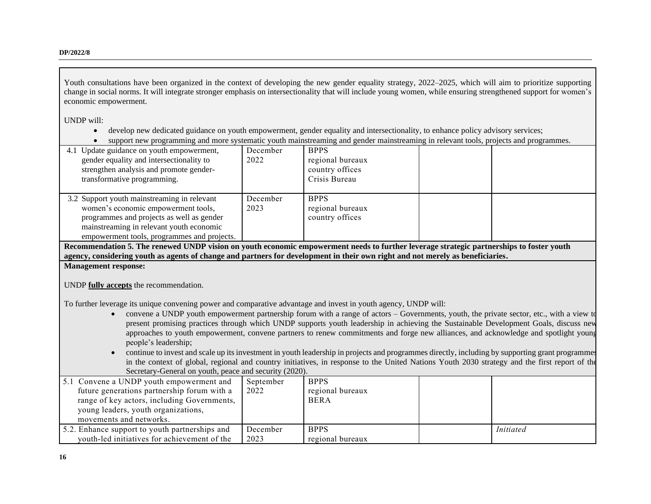**DP/2022/8**

Youth consultations have been organized in the context of developing the new gender equality strategy, 2022–2025, which will aim to prioritize supporting change in social norms. It will integrate stronger emphasis on intersectionality that will include young women, while ensuring strengthened support for women's economic empowerment.

UNDP will:

- develop new dedicated guidance on youth empowerment, gender equality and intersectionality, to enhance policy advisory services;
- support new programming and more systematic youth mainstreaming and gender mainstreaming in relevant tools, projects and programmes.

| 4.1 Update guidance on youth empowerment,<br>gender equality and intersectionality to<br>strengthen analysis and promote gender-<br>transformative programming.                                                            | December<br>2022 | <b>BPPS</b><br>regional bureaux<br>country offices<br>Crisis Bureau |  |
|----------------------------------------------------------------------------------------------------------------------------------------------------------------------------------------------------------------------------|------------------|---------------------------------------------------------------------|--|
| 3.2 Support youth mainstreaming in relevant<br>women's economic empowerment tools,<br>programmes and projects as well as gender<br>mainstreaming in relevant youth economic<br>empowerment tools, programmes and projects. | December<br>2023 | <b>BPPS</b><br>regional bureaux<br>country offices                  |  |

**Recommendation 5. The renewed UNDP vision on youth economic empowerment needs to further leverage strategic partnerships to foster youth agency, considering youth as agents of change and partners for development in their own right and not merely as beneficiaries.** 

**Management response:**

UNDP **fully accepts** the recommendation.

To further leverage its unique convening power and comparative advantage and invest in youth agency, UNDP will:

- convene a UNDP youth empowerment partnership forum with a range of actors Governments, youth, the private sector, etc., with a view to present promising practices through which UNDP supports youth leadership in achieving the Sustainable Development Goals, discuss new approaches to youth empowerment, convene partners to renew commitments and forge new alliances, and acknowledge and spotlight young people's leadership;
- continue to invest and scale up its investment in youth leadership in projects and programmes directly, including by supporting grant programmes in the context of global, regional and country initiatives, in response to the United Nations Youth 2030 strategy and the first report of the Secretary-General on youth, peace and security (2020).

| 5.1 Convene a UNDP youth empowerment and<br>future generations partnership forum with a<br>range of key actors, including Governments,<br>young leaders, youth organizations,<br>movements and networks. | September<br>2022 | <b>BPPS</b><br>regional bureaux<br><b>BERA</b> |           |
|----------------------------------------------------------------------------------------------------------------------------------------------------------------------------------------------------------|-------------------|------------------------------------------------|-----------|
| 5.2. Enhance support to youth partnerships and                                                                                                                                                           | December          | <b>BPPS</b>                                    | Initiated |
| youth-led initiatives for achievement of the                                                                                                                                                             | 2023              | regional bureaux                               |           |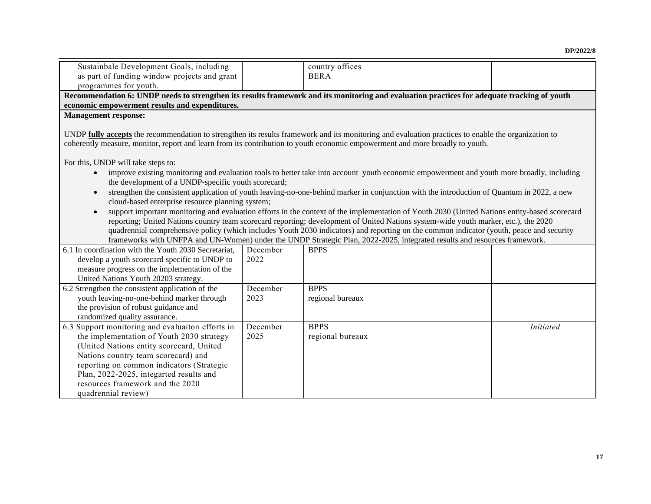| Sustainbale Development Goals, including<br>as part of funding window projects and grant                                                                                                                                                                                             |                                                                                                                                             | country offices<br><b>BERA</b> |  |                  |  |  |  |
|--------------------------------------------------------------------------------------------------------------------------------------------------------------------------------------------------------------------------------------------------------------------------------------|---------------------------------------------------------------------------------------------------------------------------------------------|--------------------------------|--|------------------|--|--|--|
| programmes for youth.                                                                                                                                                                                                                                                                |                                                                                                                                             |                                |  |                  |  |  |  |
|                                                                                                                                                                                                                                                                                      | Recommendation 6: UNDP needs to strengthen its results framework and its monitoring and evaluation practices for adequate tracking of youth |                                |  |                  |  |  |  |
| economic empowerment results and expenditures.                                                                                                                                                                                                                                       |                                                                                                                                             |                                |  |                  |  |  |  |
| <b>Management response:</b>                                                                                                                                                                                                                                                          |                                                                                                                                             |                                |  |                  |  |  |  |
|                                                                                                                                                                                                                                                                                      |                                                                                                                                             |                                |  |                  |  |  |  |
| UNDP fully accepts the recommendation to strengthen its results framework and its monitoring and evaluation practices to enable the organization to                                                                                                                                  |                                                                                                                                             |                                |  |                  |  |  |  |
| coherently measure, monitor, report and learn from its contribution to youth economic empowerment and more broadly to youth.                                                                                                                                                         |                                                                                                                                             |                                |  |                  |  |  |  |
|                                                                                                                                                                                                                                                                                      |                                                                                                                                             |                                |  |                  |  |  |  |
| For this, UNDP will take steps to:                                                                                                                                                                                                                                                   |                                                                                                                                             |                                |  |                  |  |  |  |
| improve existing monitoring and evaluation tools to better take into account youth economic empowerment and youth more broadly, including<br>$\bullet$<br>the development of a UNDP-specific youth scorecard;                                                                        |                                                                                                                                             |                                |  |                  |  |  |  |
| strengthen the consistent application of youth leaving-no-one-behind marker in conjunction with the introduction of Quantum in 2022, a new<br>$\bullet$                                                                                                                              |                                                                                                                                             |                                |  |                  |  |  |  |
| cloud-based enterprise resource planning system;                                                                                                                                                                                                                                     |                                                                                                                                             |                                |  |                  |  |  |  |
|                                                                                                                                                                                                                                                                                      |                                                                                                                                             |                                |  |                  |  |  |  |
| support important monitoring and evaluation efforts in the context of the implementation of Youth 2030 (United Nations entity-based scorecard<br>reporting; United Nations country team scorecard reporting; development of United Nations system-wide youth marker, etc.), the 2020 |                                                                                                                                             |                                |  |                  |  |  |  |
| quadrennial comprehensive policy (which includes Youth 2030 indicators) and reporting on the common indicator (youth, peace and security                                                                                                                                             |                                                                                                                                             |                                |  |                  |  |  |  |
| frameworks with UNFPA and UN-Women) under the UNDP Strategic Plan, 2022-2025, integrated results and resources framework.                                                                                                                                                            |                                                                                                                                             |                                |  |                  |  |  |  |
| 6.1 In coordination with the Youth 2030 Secretariat,                                                                                                                                                                                                                                 | December                                                                                                                                    | <b>BPPS</b>                    |  |                  |  |  |  |
| develop a youth scorecard specific to UNDP to                                                                                                                                                                                                                                        | 2022                                                                                                                                        |                                |  |                  |  |  |  |
| measure progress on the implementation of the                                                                                                                                                                                                                                        |                                                                                                                                             |                                |  |                  |  |  |  |
| United Nations Youth 20203 strategy.                                                                                                                                                                                                                                                 |                                                                                                                                             |                                |  |                  |  |  |  |
| 6.2 Strengthen the consistent application of the                                                                                                                                                                                                                                     | December                                                                                                                                    | <b>BPPS</b>                    |  |                  |  |  |  |
| youth leaving-no-one-behind marker through                                                                                                                                                                                                                                           | 2023                                                                                                                                        | regional bureaux               |  |                  |  |  |  |
| the provision of robust guidance and                                                                                                                                                                                                                                                 |                                                                                                                                             |                                |  |                  |  |  |  |
| randomized quality assurance.                                                                                                                                                                                                                                                        |                                                                                                                                             |                                |  |                  |  |  |  |
| 6.3 Support monitoring and evaluaiton efforts in                                                                                                                                                                                                                                     | December                                                                                                                                    | <b>BPPS</b>                    |  | <b>Initiated</b> |  |  |  |
| the implementation of Youth 2030 strategy                                                                                                                                                                                                                                            | 2025                                                                                                                                        | regional bureaux               |  |                  |  |  |  |
| (United Nations entity scorecard, United                                                                                                                                                                                                                                             |                                                                                                                                             |                                |  |                  |  |  |  |
| Nations country team scorecard) and                                                                                                                                                                                                                                                  |                                                                                                                                             |                                |  |                  |  |  |  |
| reporting on common indicators (Strategic                                                                                                                                                                                                                                            |                                                                                                                                             |                                |  |                  |  |  |  |
| Plan, 2022-2025, integarted results and                                                                                                                                                                                                                                              |                                                                                                                                             |                                |  |                  |  |  |  |
| resources framework and the 2020                                                                                                                                                                                                                                                     |                                                                                                                                             |                                |  |                  |  |  |  |
| quadrennial review)                                                                                                                                                                                                                                                                  |                                                                                                                                             |                                |  |                  |  |  |  |